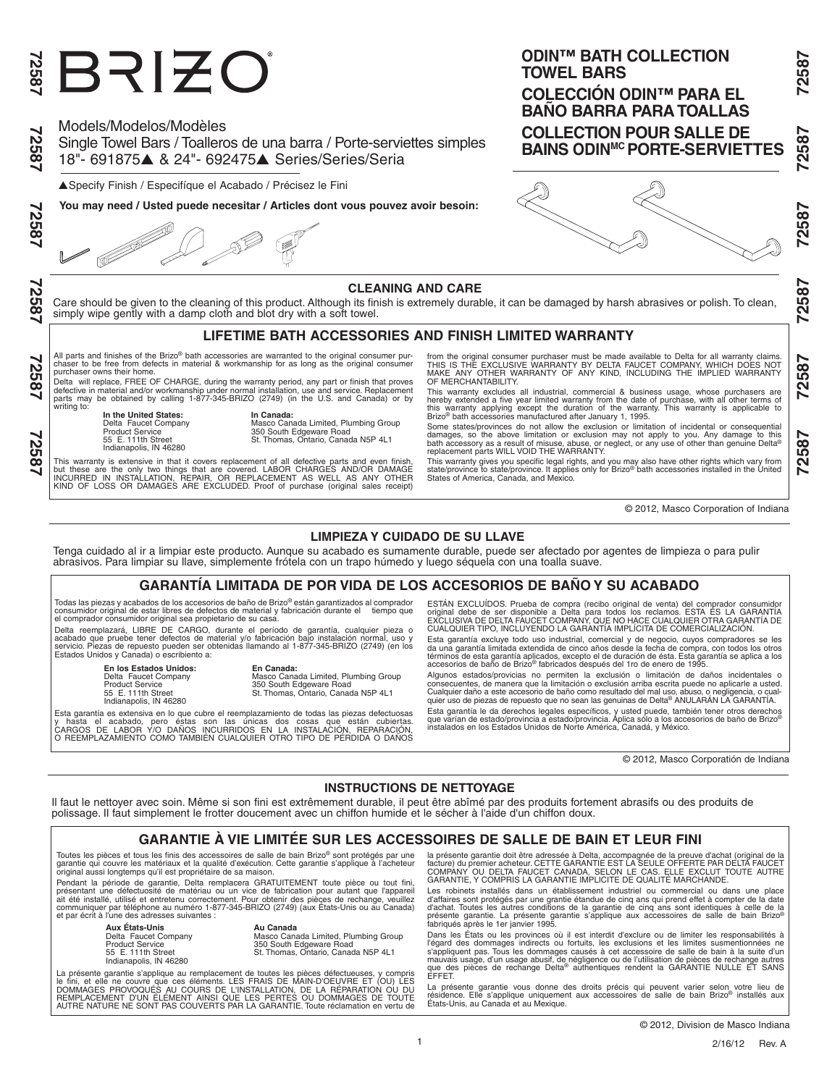# ERIZO

Models/Modelos/Modèles

Single Towel Bars / Toalleros de una barra / Porte-serviettes simples 18"- 691875▲ & 24"- 692475▲ Series/Series/Seria

▲Specify Finish / Especifíque el Acabado / Précisez le Fini

**You may need / Usted puede necesitar / Articles dont vous pouvez avoir besoin:**

လ္ကိ ŏö

72587

#### **CLEANING AND CARE**

Care should be given to the cleaning of this product. Although its finish is extremely durable, it can be damaged by harsh abrasives or polish. To clean, simply wipe gently with a damp cloth and blot dry with a soft towel.

# **LIFETIME BATH ACCESSORIES AND FINISH LIMITED WARRANTY**

All parts and finishes of the Brizo® bath accessories are warranted to the original consumer pur-<br>chaser to be free from defects in material & workmanship for as long as the original consumer<br>purchaser owns their home.

.<br>Delta will replace, FREE OF CHARGE, during the warranty period, any part or finish that proves<br>defective in material and/or workmanship under normal installation, use and service. Replacement<br>parts may be obtained by cal

writing to:

**In the United States: In Canada:**<br>
Delta Faucet Company **Masco Can<br>
Product Service 350 South I** 

Indianapolis, IN 46280

Delta Faucet Company Masco Canada Limited, Plumbing Group Product Service 350 South Edgeware Road 55 E. 111th Street St. Thomas, Ontario, Canada N5P 4L1

This warranty is extensive in that it covers replacement of all defective parts and even finish,<br>but these are the only two things that are covered. LABOR CHARGES AND/OR DAMAGE<br>INCURRED IN INSTALLATION, REPAIR, OR REPLACEM

from the original consumer purchaser must be made available to Delta for all warranty claims.<br>THIS IS THE EXCLUSIVE WARRANTY BY DELTA FAUCET COMPANY, WHICH DOES NOT<br>MAKE ANY OTHER WARRANTY OF ANY KIND, INCLUDING THE IMPLIE OF MERCHANTABILITY.

This warranty excludes all industrial, commercial & business usage, whose purchasers are hereby extended a five year limited warranty from the date of purchase, with all other terms of the warranty from the date of purchas

Some states/provinces do not allow the exclusion or limitation of incidental or consequential damages, so the above limitation or exclusion may not apply to you. Any damage to this<br>bath accessory as a result of misuse, abuse, or neglect, or any use of other than genuine Delta®<br>replacement parts WILL VOID THE WARRAN

This warranty gives you specific legal rights, and you may also have other rights which vary from<br>state/province to state/province. It applies only for Brizo® bath accessories installed in the United<br>States of America, Can

© 2012, Masco Corporation of Indiana

## **LIMPIEZA Y CUIDADO DE SU LLAVE**

Tenga cuidado al ir a limpiar este producto. Aunque su acabado es sumamente durable, puede ser afectado por agentes de limpieza o para pulir abrasivos. Para limpiar su llave, simplemente frótela con un trapo húmedo y luego séquela con una toalla suave.

### **GARANTÍA LIMITADA DE POR VIDA DE LOS ACCESORIOS DE BAÑO Y SU ACABADO**

Todas las piezas y acabados de los accesorios de baño de Brizo® están garantizados al comprador<br>consumidor original de estar libres de defectos de material y fabricación durante el tiempo que<br>el comprador consumidor ori

reemplazará, LIBRE DE CARGO, durante el período de garantía, cualquier pieza o acabado que pruebe tener defectos de material y/o fabricación bajo instalación normal, uso y<br>servicio. Piezas de repuesto pueden ser obtenidas llamando al 1-877-345-BRIZO (2749) (en los<br>Estados Unidos y Canada) o escribien

**En los Estados Unidos: En Canada:**<br>
Delta Faucet Company Masco Cana<br>
Product Service 350 South E

Delta Faucet Company Masco Canada Limited, Plumbing Group Product Service 350 South Edgeware Road 55 E. 111th Street St. Thomas, Ontario, Canada N5P 4L1 Indianapolis, IN 46280

Esta garantía es extensiva en lo que cubre el reemplazamiento de todas las piezas defectuosas<br>y hasta el acabado, pero éstas son las unicas dos cosas que están cubiertas.<br>CARGOS DE LABOR Y/O DAÑOS INCURRI

ESTÁN EXCLUÍDOS. Prueba de compra (recibo original de venta) del comprador consumidor<br>original debe de ser disponible a Delta para todos los reclamos. ESTA ES LA GARANTÍA<br>EXCLUSIVA DE DELTA FAUCET COMPANY, QUE NO HACE CUAL CUALQUIER TIPO, INCLUYENDO LA GARANTÍA IMPLÍCITA DE COMERCIALIZACIÓN.

Esta garantía excluye todo uso industrial, comercial y de negocio, cuyos compradores se les<br>da una garantía limitada extendida de cinco años desde la fecha de compra, con todos los otros<br>términos de esta garantía aplicados

Algunos estados/provicias no permiten la exclusión o limitación de daños incidentales o<br>consecuentes, de manera que la limitación o exclusión arriba escrita puede no aplicarle a usted.<br>Cualquier daño a este accesorio de ba Esta garantía le da derechos legales específicos, y usted puede, también tener otros derechos<br>que varían de estado/provincia a estado/provincia. Aplica sólo a los accesorios de baño de Brizo®<br>instalados en los Estados Unid

© 2012, Masco Corporatión de Indiana

# **INSTRUCTIONS DE NETTOYAGE**

Il faut le nettoyer avec soin. Même si son fini est extrêmement durable, il peut être abîmé par des produits fortement abrasifs ou des produits de polissage. Il faut simplement le frotter doucement avec un chiffon humide et le sécher à l'aide d'un chiffon doux.

# **GARANTIE À VIE LIMITÉE SUR LES ACCESSOIRES DE SALLE DE BAIN ET LEUR FINI**

1

Toutes les pièces et tous les finis des accessoires de salle de bain Brizo® sont protégés par une garantie qui couvre les matériaux et la qualité d'exécution. Cette garantie s'applique à l'acheteur original aussi longtemps qu'il est propriétaire de sa maison.

Pendant la période de garantie, Delta remplacera GRATUITEMENT toute pièce ou tout fini,<br>présentant une défectuosité de matériau ou un vice de fabrication pour autant que l'appareil<br>ait été installé, utilisé et entretenu co communiquer par téléphone au numéro 1-877-345-BRIZO (2749) (aux États-Unis ou au Canada) et par écrit à l'une des adresses suivantes :

> **Aux États-Unis**<br> **Au Canada**<br> **Product Service**<br> **Product Service**<br> **55** E. 111th Street<br> **CREPT SERVICES**<br> **CREPT SERVICES**<br> **SERVICES** Indianapolis, IN 46280

Delta Faucet Company Masco Canada Limited, Plumbing Group Product Service 350 South Edgeware Road 55 E. 111th Street St. Thomas, Ontario, Canada N5P 4L1

La présente garantie s'applique au remplacement de toutes les pièces défectueuses, y compris<br>le fini, et elle ne couvre que ces éléments. LES FRAIS DE MAIN-D'OEUVRE ET (OU) LES<br>DOMMAGES PROVOQUÉS AU COURS DE L'INSTALLATION AUTRE NATURE NE SONT PAS COUVERTS PAR LA GARANTIE. Toute réclamation en vertu de

la présente garantie doit être adressée à Delta, accompagnée de la preuve d'achat (original de la<br>facture) du premier acheteur. CETTE GARANTIE EST LA SEULE OFFERTE PAR DELTA FAUCET<br>COMPANY OU DELTA FAUCET CANADA, SELON LE

Les robinets installés dans un établissement industriel ou commercial ou dans une place d'affaires sont protégés par une grantie étandue de cinq ans qui prend effet à compter de la date<br>d'achat. Toutes les autres conditions de la garantie de cinq ans sont identiques à celle de la<br>présente garantie. La présent

Dans les États ou les provinces où il est interdit d'exclure ou de limiter les responsabilités à l'égard des dommages indirects ou fortuits, les exclusions et les limites susmentionnées ne<br>s'appliquent pas. Tous les dommages causés à cet accessoire de salle de bain à la suite d'un<br>mauvais usage, d'un usage abusif, de EFFET.

La présente garantie vous donne des droits précis qui peuvent varier selon votre lieu de<br>résidence. Elle s'applique uniquement aux accessoires de salle de bain Brizo® installés aux<br>États-Unis, au Canada et au Mexique.

2587

7852'

2587

**ODIN™ BATH COLLECTION TOWEL BARS COLECCIÓN ODIN™ PARA EL BANO BARRA PARA TOALLAS COLLECTION POUR SALLE DE** 

**BAINS ODINMC PORTE-SERVIETTES**